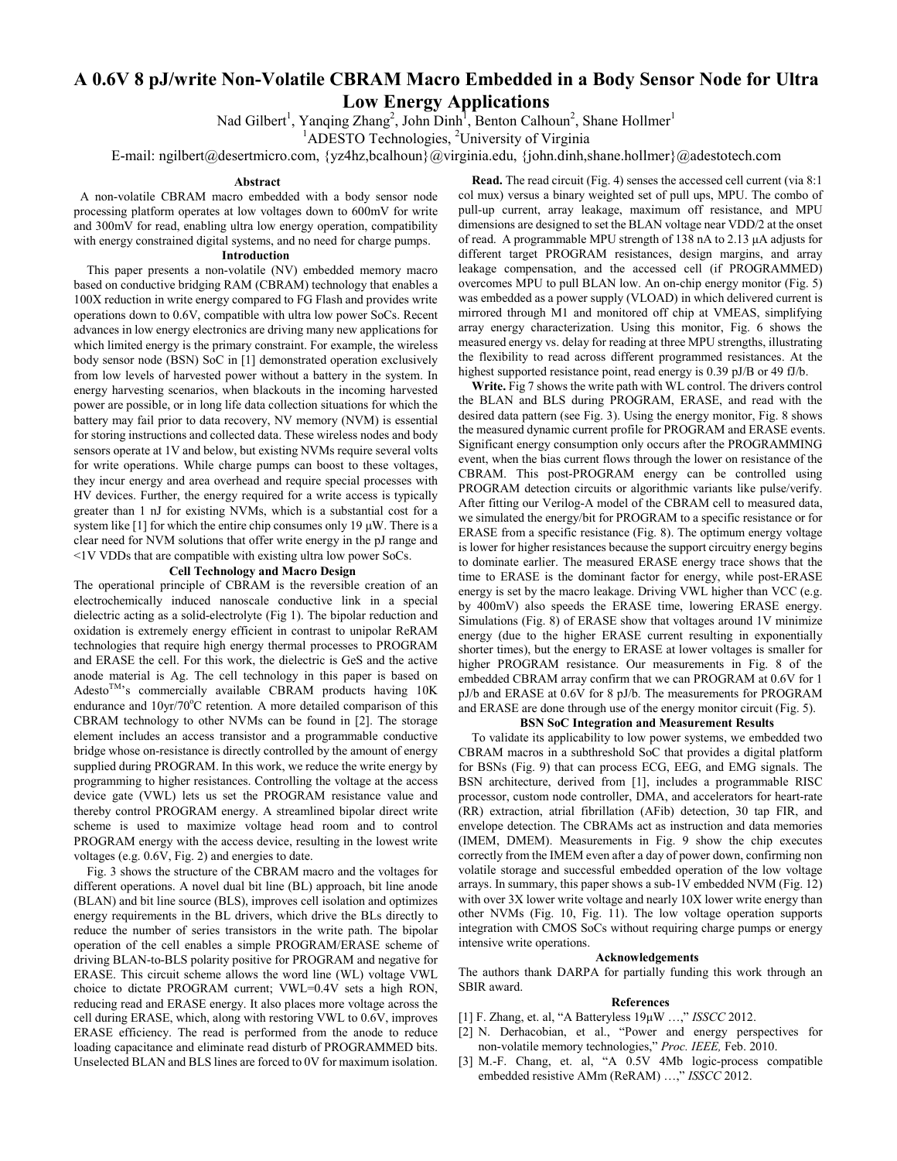# **A 0.6V 8 pJ/write Non-Volatile CBRAM Macro Embedded in a Body Sensor Node for Ultra Low Energy Applications**

Nad Gilbert<sup>1</sup>, Yanqing Zhang<sup>2</sup>, John Dinh<sup>1</sup>, Benton Calhoun<sup>2</sup>, Shane Hollmer<sup>1</sup>

<sup>1</sup>ADESTO Technologies, <sup>2</sup>University of Virginia

E-mail: ngilbert@desertmicro.com, {yz4hz,bcalhoun}@virginia.edu, {john.dinh,shane.hollmer}@adestotech.com

#### **Abstract**

 A non-volatile CBRAM macro embedded with a body sensor node processing platform operates at low voltages down to 600mV for write and 300mV for read, enabling ultra low energy operation, compatibility with energy constrained digital systems, and no need for charge pumps.

# **Introduction**

This paper presents a non-volatile (NV) embedded memory macro based on conductive bridging RAM (CBRAM) technology that enables a 100X reduction in write energy compared to FG Flash and provides write operations down to 0.6V, compatible with ultra low power SoCs. Recent advances in low energy electronics are driving many new applications for which limited energy is the primary constraint. For example, the wireless body sensor node (BSN) SoC in [1] demonstrated operation exclusively from low levels of harvested power without a battery in the system. In energy harvesting scenarios, when blackouts in the incoming harvested power are possible, or in long life data collection situations for which the battery may fail prior to data recovery, NV memory (NVM) is essential for storing instructions and collected data. These wireless nodes and body sensors operate at 1V and below, but existing NVMs require several volts for write operations. While charge pumps can boost to these voltages, they incur energy and area overhead and require special processes with HV devices. Further, the energy required for a write access is typically greater than 1 nJ for existing NVMs, which is a substantial cost for a system like [1] for which the entire chip consumes only 19  $\mu$ W. There is a clear need for NVM solutions that offer write energy in the pJ range and <1V VDDs that are compatible with existing ultra low power SoCs.

### **Cell Technology and Macro Design**

The operational principle of CBRAM is the reversible creation of an electrochemically induced nanoscale conductive link in a special dielectric acting as a solid-electrolyte (Fig 1). The bipolar reduction and oxidation is extremely energy efficient in contrast to unipolar ReRAM technologies that require high energy thermal processes to PROGRAM and ERASE the cell. For this work, the dielectric is GeS and the active anode material is Ag. The cell technology in this paper is based on  $Adesto^{TM}$ 's commercially available CBRAM products having 10K endurance and  $10yr/70^{\circ}$ C retention. A more detailed comparison of this CBRAM technology to other NVMs can be found in [2]. The storage element includes an access transistor and a programmable conductive bridge whose on-resistance is directly controlled by the amount of energy supplied during PROGRAM. In this work, we reduce the write energy by programming to higher resistances. Controlling the voltage at the access device gate (VWL) lets us set the PROGRAM resistance value and thereby control PROGRAM energy. A streamlined bipolar direct write scheme is used to maximize voltage head room and to control PROGRAM energy with the access device, resulting in the lowest write voltages (e.g. 0.6V, Fig. 2) and energies to date.

Fig. 3 shows the structure of the CBRAM macro and the voltages for different operations. A novel dual bit line (BL) approach, bit line anode (BLAN) and bit line source (BLS), improves cell isolation and optimizes energy requirements in the BL drivers, which drive the BLs directly to reduce the number of series transistors in the write path. The bipolar operation of the cell enables a simple PROGRAM/ERASE scheme of driving BLAN-to-BLS polarity positive for PROGRAM and negative for ERASE. This circuit scheme allows the word line (WL) voltage VWL choice to dictate PROGRAM current; VWL=0.4V sets a high RON, reducing read and ERASE energy. It also places more voltage across the cell during ERASE, which, along with restoring VWL to 0.6V, improves ERASE efficiency. The read is performed from the anode to reduce loading capacitance and eliminate read disturb of PROGRAMMED bits. Unselected BLAN and BLS lines are forced to 0V for maximum isolation.

**Read.** The read circuit (Fig. 4) senses the accessed cell current (via 8:1 col mux) versus a binary weighted set of pull ups, MPU. The combo of pull-up current, array leakage, maximum off resistance, and MPU dimensions are designed to set the BLAN voltage near VDD/2 at the onset of read. A programmable MPU strength of 138 nA to 2.13 μA adjusts for different target PROGRAM resistances, design margins, and array leakage compensation, and the accessed cell (if PROGRAMMED) overcomes MPU to pull BLAN low. An on-chip energy monitor (Fig. 5) was embedded as a power supply (VLOAD) in which delivered current is mirrored through M1 and monitored off chip at VMEAS, simplifying array energy characterization. Using this monitor, Fig. 6 shows the measured energy vs. delay for reading at three MPU strengths, illustrating the flexibility to read across different programmed resistances. At the highest supported resistance point, read energy is 0.39 pJ/B or 49 fJ/b.

**Write.** Fig 7 shows the write path with WL control. The drivers control the BLAN and BLS during PROGRAM, ERASE, and read with the desired data pattern (see Fig. 3). Using the energy monitor, Fig. 8 shows the measured dynamic current profile for PROGRAM and ERASE events. Significant energy consumption only occurs after the PROGRAMMING event, when the bias current flows through the lower on resistance of the CBRAM. This post-PROGRAM energy can be controlled using PROGRAM detection circuits or algorithmic variants like pulse/verify. After fitting our Verilog-A model of the CBRAM cell to measured data, we simulated the energy/bit for PROGRAM to a specific resistance or for ERASE from a specific resistance (Fig. 8). The optimum energy voltage is lower for higher resistances because the support circuitry energy begins to dominate earlier. The measured ERASE energy trace shows that the time to ERASE is the dominant factor for energy, while post-ERASE energy is set by the macro leakage. Driving VWL higher than VCC (e.g. by 400mV) also speeds the ERASE time, lowering ERASE energy. Simulations (Fig. 8) of ERASE show that voltages around 1V minimize energy (due to the higher ERASE current resulting in exponentially shorter times), but the energy to ERASE at lower voltages is smaller for higher PROGRAM resistance. Our measurements in Fig. 8 of the embedded CBRAM array confirm that we can PROGRAM at 0.6V for 1 pJ/b and ERASE at 0.6V for 8 pJ/b. The measurements for PROGRAM and ERASE are done through use of the energy monitor circuit (Fig. 5).

## **BSN SoC Integration and Measurement Results**

To validate its applicability to low power systems, we embedded two CBRAM macros in a subthreshold SoC that provides a digital platform for BSNs (Fig. 9) that can process ECG, EEG, and EMG signals. The BSN architecture, derived from [1], includes a programmable RISC processor, custom node controller, DMA, and accelerators for heart-rate (RR) extraction, atrial fibrillation (AFib) detection, 30 tap FIR, and envelope detection. The CBRAMs act as instruction and data memories (IMEM, DMEM). Measurements in Fig. 9 show the chip executes correctly from the IMEM even after a day of power down, confirming non volatile storage and successful embedded operation of the low voltage arrays. In summary, this paper shows a sub-1V embedded NVM (Fig. 12) with over 3X lower write voltage and nearly 10X lower write energy than other NVMs (Fig. 10, Fig. 11). The low voltage operation supports integration with CMOS SoCs without requiring charge pumps or energy intensive write operations.

#### **Acknowledgements**

The authors thank DARPA for partially funding this work through an SBIR award.

### **References**

- [1] F. Zhang, et. al, "A Batteryless 19μW …," *ISSCC* 2012.
- [2] N. Derhacobian, et al., "Power and energy perspectives for non-volatile memory technologies," *Proc. IEEE,* Feb. 2010.
- [3] M.-F. Chang, et. al, "A 0.5V 4Mb logic-process compatible embedded resistive AMm (ReRAM) ...," *ISSCC* 2012.